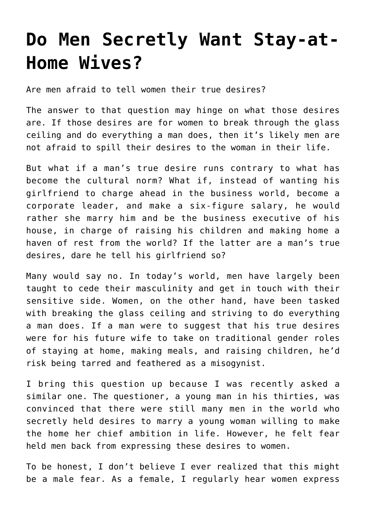## **[Do Men Secretly Want Stay-at-](https://intellectualtakeout.org/2017/01/do-men-secretly-want-stay-at-home-wives/)[Home Wives?](https://intellectualtakeout.org/2017/01/do-men-secretly-want-stay-at-home-wives/)**

Are men afraid to tell women their true desires?

The answer to that question may hinge on what those desires are. If those desires are for women to break through the glass ceiling and do everything a man does, then it's likely men are not afraid to spill their desires to the woman in their life.

But what if a man's true desire runs contrary to what has become the cultural norm? What if, instead of wanting his girlfriend to charge ahead in the business world, become a corporate leader, and make a six-figure salary, he would rather she marry him and be the business executive of his house, in charge of raising his children and making home a haven of rest from the world? If the latter are a man's true desires, dare he tell his girlfriend so?

Many would say no. In today's world, men have largely been taught to cede their masculinity and get in touch with their sensitive side. Women, on the other hand, have been tasked with breaking the glass ceiling and striving to do everything a man does. If a man were to suggest that his true desires were for his future wife to take on traditional gender roles of staying at home, making meals, and raising children, he'd risk being tarred and feathered as a misogynist.

I bring this question up because I was recently asked a similar one. The questioner, a young man in his thirties, was convinced that there were still many men in the world who secretly held desires to marry a young woman willing to make the home her chief ambition in life. However, he felt fear held men back from expressing these desires to women.

To be honest, I don't believe I ever realized that this might be a male fear. As a female, I regularly hear women express